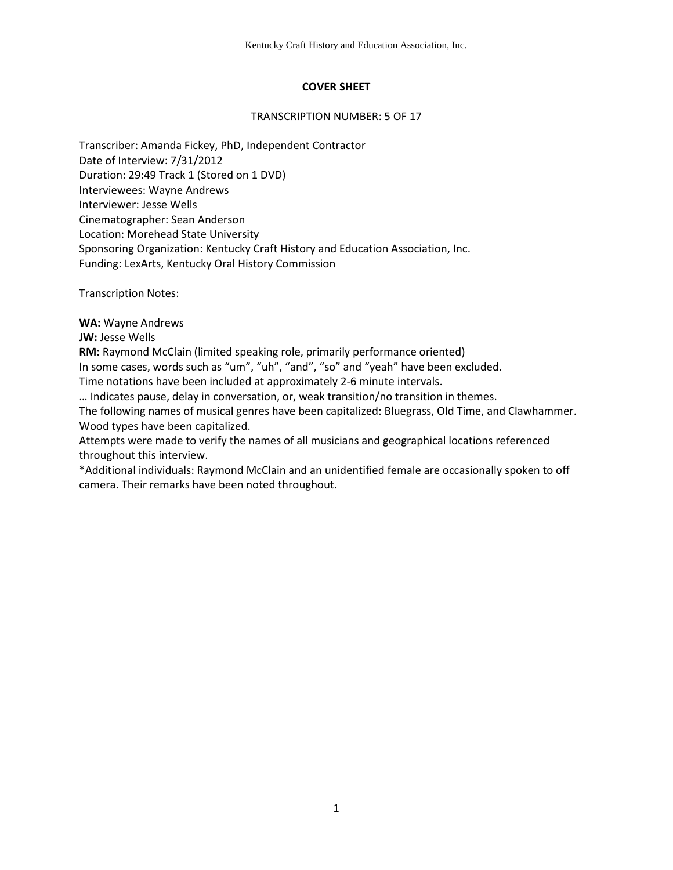# **COVER SHEET**

#### TRANSCRIPTION NUMBER: 5 OF 17

Transcriber: Amanda Fickey, PhD, Independent Contractor Date of Interview: 7/31/2012 Duration: 29:49 Track 1 (Stored on 1 DVD) Interviewees: Wayne Andrews Interviewer: Jesse Wells Cinematographer: Sean Anderson Location: Morehead State University Sponsoring Organization: Kentucky Craft History and Education Association, Inc. Funding: LexArts, Kentucky Oral History Commission

Transcription Notes:

**WA:** Wayne Andrews

**JW: Jesse Wells** 

**RM:** Raymond McClain (limited speaking role, primarily performance oriented)

In some cases, words such as "um", "uh", "and", "so" and "yeah" have been excluded.

Time notations have been included at approximately 2-6 minute intervals.

… Indicates pause, delay in conversation, or, weak transition/no transition in themes.

The following names of musical genres have been capitalized: Bluegrass, Old Time, and Clawhammer. Wood types have been capitalized.

Attempts were made to verify the names of all musicians and geographical locations referenced throughout this interview.

\*Additional individuals: Raymond McClain and an unidentified female are occasionally spoken to off camera. Their remarks have been noted throughout.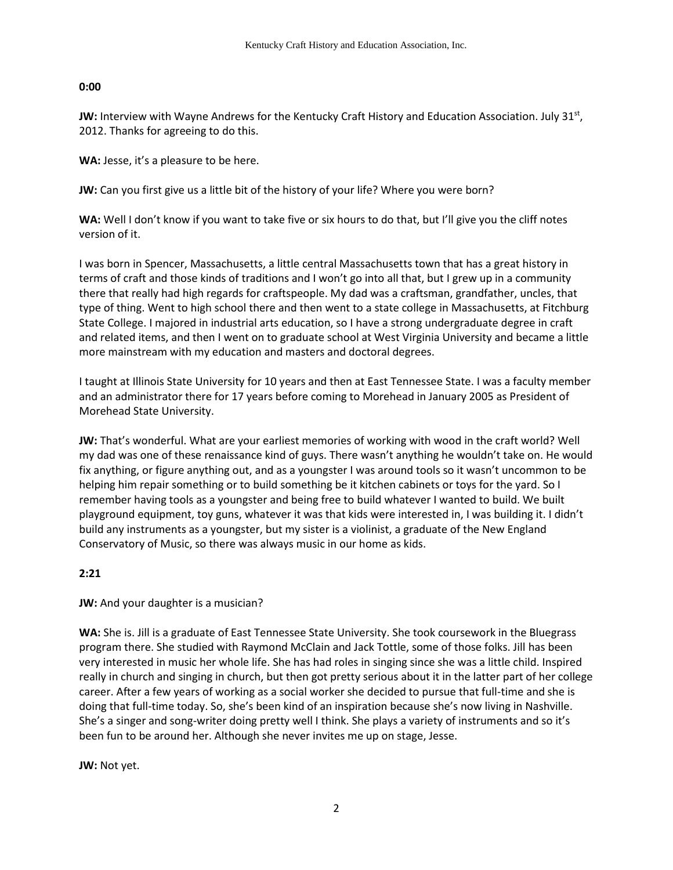## **0:00**

JW: Interview with Wayne Andrews for the Kentucky Craft History and Education Association. July 31<sup>st</sup>, 2012. Thanks for agreeing to do this.

WA: Jesse, it's a pleasure to be here.

**JW:** Can you first give us a little bit of the history of your life? Where you were born?

**WA:** Well I don't know if you want to take five or six hours to do that, but I'll give you the cliff notes version of it.

I was born in Spencer, Massachusetts, a little central Massachusetts town that has a great history in terms of craft and those kinds of traditions and I won't go into all that, but I grew up in a community there that really had high regards for craftspeople. My dad was a craftsman, grandfather, uncles, that type of thing. Went to high school there and then went to a state college in Massachusetts, at Fitchburg State College. I majored in industrial arts education, so I have a strong undergraduate degree in craft and related items, and then I went on to graduate school at West Virginia University and became a little more mainstream with my education and masters and doctoral degrees.

I taught at Illinois State University for 10 years and then at East Tennessee State. I was a faculty member and an administrator there for 17 years before coming to Morehead in January 2005 as President of Morehead State University.

**JW:** That's wonderful. What are your earliest memories of working with wood in the craft world? Well my dad was one of these renaissance kind of guys. There wasn't anything he wouldn't take on. He would fix anything, or figure anything out, and as a youngster I was around tools so it wasn't uncommon to be helping him repair something or to build something be it kitchen cabinets or toys for the yard. So I remember having tools as a youngster and being free to build whatever I wanted to build. We built playground equipment, toy guns, whatever it was that kids were interested in, I was building it. I didn't build any instruments as a youngster, but my sister is a violinist, a graduate of the New England Conservatory of Music, so there was always music in our home as kids.

# **2:21**

**JW:** And your daughter is a musician?

**WA:** She is. Jill is a graduate of East Tennessee State University. She took coursework in the Bluegrass program there. She studied with Raymond McClain and Jack Tottle, some of those folks. Jill has been very interested in music her whole life. She has had roles in singing since she was a little child. Inspired really in church and singing in church, but then got pretty serious about it in the latter part of her college career. After a few years of working as a social worker she decided to pursue that full-time and she is doing that full-time today. So, she's been kind of an inspiration because she's now living in Nashville. She's a singer and song-writer doing pretty well I think. She plays a variety of instruments and so it's been fun to be around her. Although she never invites me up on stage, Jesse.

**JW:** Not yet.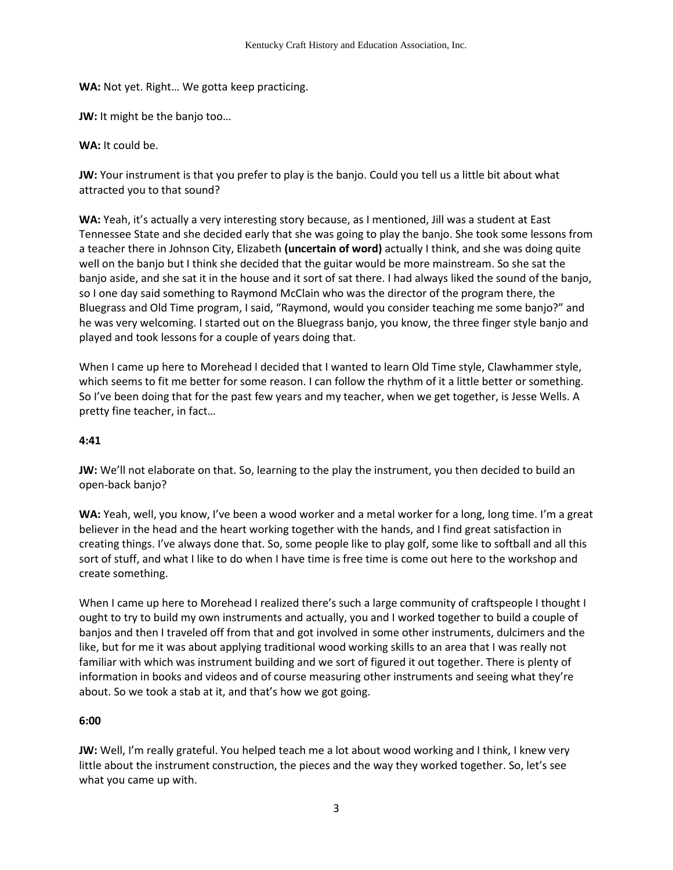**WA:** Not yet. Right… We gotta keep practicing.

**JW:** It might be the banjo too…

**WA:** It could be.

**JW:** Your instrument is that you prefer to play is the banjo. Could you tell us a little bit about what attracted you to that sound?

**WA:** Yeah, it's actually a very interesting story because, as I mentioned, Jill was a student at East Tennessee State and she decided early that she was going to play the banjo. She took some lessons from a teacher there in Johnson City, Elizabeth **(uncertain of word)** actually I think, and she was doing quite well on the banjo but I think she decided that the guitar would be more mainstream. So she sat the banjo aside, and she sat it in the house and it sort of sat there. I had always liked the sound of the banjo, so I one day said something to Raymond McClain who was the director of the program there, the Bluegrass and Old Time program, I said, "Raymond, would you consider teaching me some banjo?" and he was very welcoming. I started out on the Bluegrass banjo, you know, the three finger style banjo and played and took lessons for a couple of years doing that.

When I came up here to Morehead I decided that I wanted to learn Old Time style, Clawhammer style, which seems to fit me better for some reason. I can follow the rhythm of it a little better or something. So I've been doing that for the past few years and my teacher, when we get together, is Jesse Wells. A pretty fine teacher, in fact…

## **4:41**

**JW:** We'll not elaborate on that. So, learning to the play the instrument, you then decided to build an open-back banjo?

**WA:** Yeah, well, you know, I've been a wood worker and a metal worker for a long, long time. I'm a great believer in the head and the heart working together with the hands, and I find great satisfaction in creating things. I've always done that. So, some people like to play golf, some like to softball and all this sort of stuff, and what I like to do when I have time is free time is come out here to the workshop and create something.

When I came up here to Morehead I realized there's such a large community of craftspeople I thought I ought to try to build my own instruments and actually, you and I worked together to build a couple of banjos and then I traveled off from that and got involved in some other instruments, dulcimers and the like, but for me it was about applying traditional wood working skills to an area that I was really not familiar with which was instrument building and we sort of figured it out together. There is plenty of information in books and videos and of course measuring other instruments and seeing what they're about. So we took a stab at it, and that's how we got going.

## **6:00**

**JW:** Well, I'm really grateful. You helped teach me a lot about wood working and I think, I knew very little about the instrument construction, the pieces and the way they worked together. So, let's see what you came up with.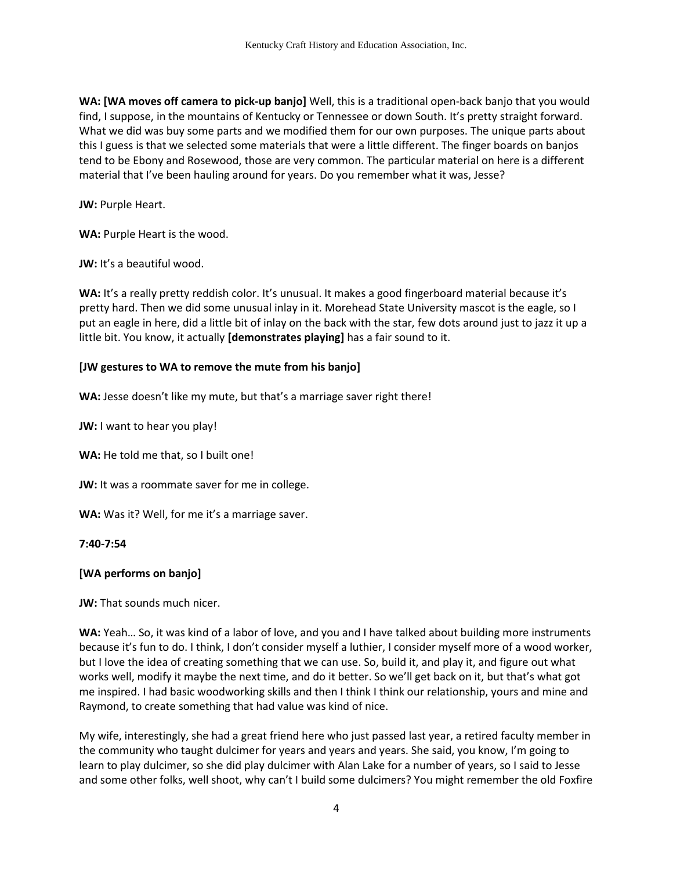**WA: [WA moves off camera to pick-up banjo]** Well, this is a traditional open-back banjo that you would find, I suppose, in the mountains of Kentucky or Tennessee or down South. It's pretty straight forward. What we did was buy some parts and we modified them for our own purposes. The unique parts about this I guess is that we selected some materials that were a little different. The finger boards on banjos tend to be Ebony and Rosewood, those are very common. The particular material on here is a different material that I've been hauling around for years. Do you remember what it was, Jesse?

**JW:** Purple Heart.

**WA:** Purple Heart is the wood.

**JW:** It's a beautiful wood.

WA: It's a really pretty reddish color. It's unusual. It makes a good fingerboard material because it's pretty hard. Then we did some unusual inlay in it. Morehead State University mascot is the eagle, so I put an eagle in here, did a little bit of inlay on the back with the star, few dots around just to jazz it up a little bit. You know, it actually **[demonstrates playing]** has a fair sound to it.

#### **[JW gestures to WA to remove the mute from his banjo]**

WA: Jesse doesn't like my mute, but that's a marriage saver right there!

**JW:** I want to hear you play!

**WA:** He told me that, so I built one!

**JW:** It was a roommate saver for me in college.

**WA:** Was it? Well, for me it's a marriage saver.

#### **7:40-7:54**

## **[WA performs on banjo]**

**JW:** That sounds much nicer.

**WA:** Yeah… So, it was kind of a labor of love, and you and I have talked about building more instruments because it's fun to do. I think, I don't consider myself a luthier, I consider myself more of a wood worker, but I love the idea of creating something that we can use. So, build it, and play it, and figure out what works well, modify it maybe the next time, and do it better. So we'll get back on it, but that's what got me inspired. I had basic woodworking skills and then I think I think our relationship, yours and mine and Raymond, to create something that had value was kind of nice.

My wife, interestingly, she had a great friend here who just passed last year, a retired faculty member in the community who taught dulcimer for years and years and years. She said, you know, I'm going to learn to play dulcimer, so she did play dulcimer with Alan Lake for a number of years, so I said to Jesse and some other folks, well shoot, why can't I build some dulcimers? You might remember the old Foxfire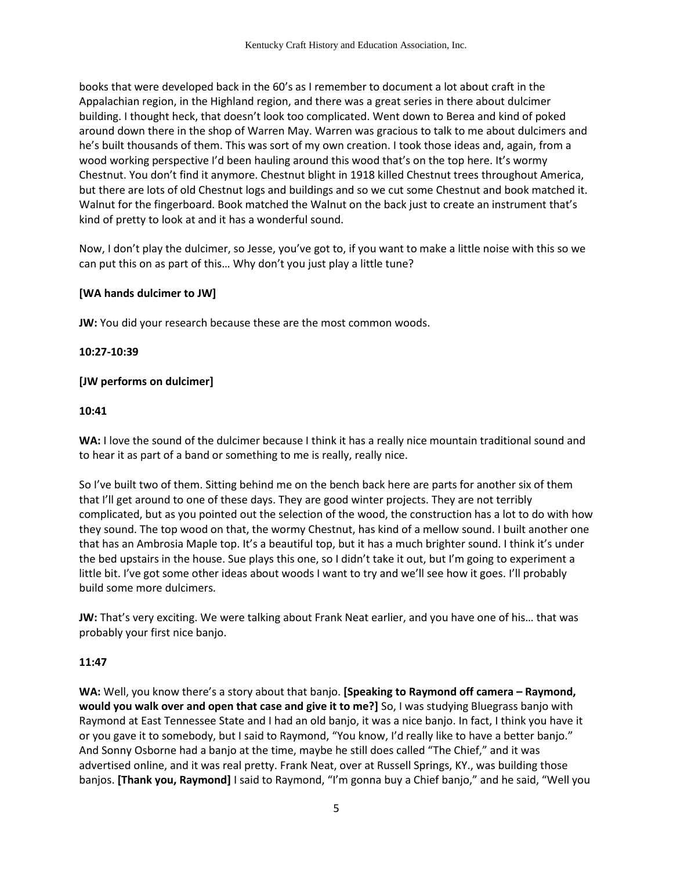books that were developed back in the 60's as I remember to document a lot about craft in the Appalachian region, in the Highland region, and there was a great series in there about dulcimer building. I thought heck, that doesn't look too complicated. Went down to Berea and kind of poked around down there in the shop of Warren May. Warren was gracious to talk to me about dulcimers and he's built thousands of them. This was sort of my own creation. I took those ideas and, again, from a wood working perspective I'd been hauling around this wood that's on the top here. It's wormy Chestnut. You don't find it anymore. Chestnut blight in 1918 killed Chestnut trees throughout America, but there are lots of old Chestnut logs and buildings and so we cut some Chestnut and book matched it. Walnut for the fingerboard. Book matched the Walnut on the back just to create an instrument that's kind of pretty to look at and it has a wonderful sound.

Now, I don't play the dulcimer, so Jesse, you've got to, if you want to make a little noise with this so we can put this on as part of this… Why don't you just play a little tune?

## **[WA hands dulcimer to JW]**

**JW:** You did your research because these are the most common woods.

**10:27-10:39**

## **[JW performs on dulcimer]**

#### **10:41**

WA: I love the sound of the dulcimer because I think it has a really nice mountain traditional sound and to hear it as part of a band or something to me is really, really nice.

So I've built two of them. Sitting behind me on the bench back here are parts for another six of them that I'll get around to one of these days. They are good winter projects. They are not terribly complicated, but as you pointed out the selection of the wood, the construction has a lot to do with how they sound. The top wood on that, the wormy Chestnut, has kind of a mellow sound. I built another one that has an Ambrosia Maple top. It's a beautiful top, but it has a much brighter sound. I think it's under the bed upstairs in the house. Sue plays this one, so I didn't take it out, but I'm going to experiment a little bit. I've got some other ideas about woods I want to try and we'll see how it goes. I'll probably build some more dulcimers.

**JW:** That's very exciting. We were talking about Frank Neat earlier, and you have one of his… that was probably your first nice banjo.

## **11:47**

**WA:** Well, you know there's a story about that banjo. **[Speaking to Raymond off camera – Raymond, would you walk over and open that case and give it to me?]** So, I was studying Bluegrass banjo with Raymond at East Tennessee State and I had an old banjo, it was a nice banjo. In fact, I think you have it or you gave it to somebody, but I said to Raymond, "You know, I'd really like to have a better banjo." And Sonny Osborne had a banjo at the time, maybe he still does called "The Chief," and it was advertised online, and it was real pretty. Frank Neat, over at Russell Springs, KY., was building those banjos. **[Thank you, Raymond]** I said to Raymond, "I'm gonna buy a Chief banjo," and he said, "Well you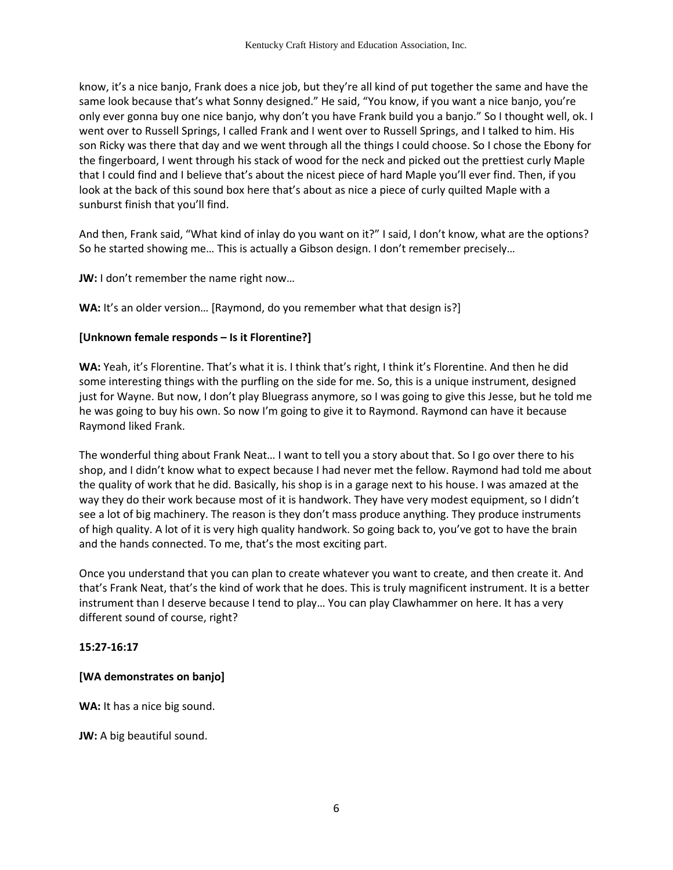know, it's a nice banjo, Frank does a nice job, but they're all kind of put together the same and have the same look because that's what Sonny designed." He said, "You know, if you want a nice banjo, you're only ever gonna buy one nice banjo, why don't you have Frank build you a banjo." So I thought well, ok. I went over to Russell Springs, I called Frank and I went over to Russell Springs, and I talked to him. His son Ricky was there that day and we went through all the things I could choose. So I chose the Ebony for the fingerboard, I went through his stack of wood for the neck and picked out the prettiest curly Maple that I could find and I believe that's about the nicest piece of hard Maple you'll ever find. Then, if you look at the back of this sound box here that's about as nice a piece of curly quilted Maple with a sunburst finish that you'll find.

And then, Frank said, "What kind of inlay do you want on it?" I said, I don't know, what are the options? So he started showing me… This is actually a Gibson design. I don't remember precisely…

**JW:** I don't remember the name right now…

**WA:** It's an older version… [Raymond, do you remember what that design is?]

## **[Unknown female responds – Is it Florentine?]**

**WA:** Yeah, it's Florentine. That's what it is. I think that's right, I think it's Florentine. And then he did some interesting things with the purfling on the side for me. So, this is a unique instrument, designed just for Wayne. But now, I don't play Bluegrass anymore, so I was going to give this Jesse, but he told me he was going to buy his own. So now I'm going to give it to Raymond. Raymond can have it because Raymond liked Frank.

The wonderful thing about Frank Neat… I want to tell you a story about that. So I go over there to his shop, and I didn't know what to expect because I had never met the fellow. Raymond had told me about the quality of work that he did. Basically, his shop is in a garage next to his house. I was amazed at the way they do their work because most of it is handwork. They have very modest equipment, so I didn't see a lot of big machinery. The reason is they don't mass produce anything. They produce instruments of high quality. A lot of it is very high quality handwork. So going back to, you've got to have the brain and the hands connected. To me, that's the most exciting part.

Once you understand that you can plan to create whatever you want to create, and then create it. And that's Frank Neat, that's the kind of work that he does. This is truly magnificent instrument. It is a better instrument than I deserve because I tend to play… You can play Clawhammer on here. It has a very different sound of course, right?

## **15:27-16:17**

# **[WA demonstrates on banjo]**

WA: It has a nice big sound.

**JW:** A big beautiful sound.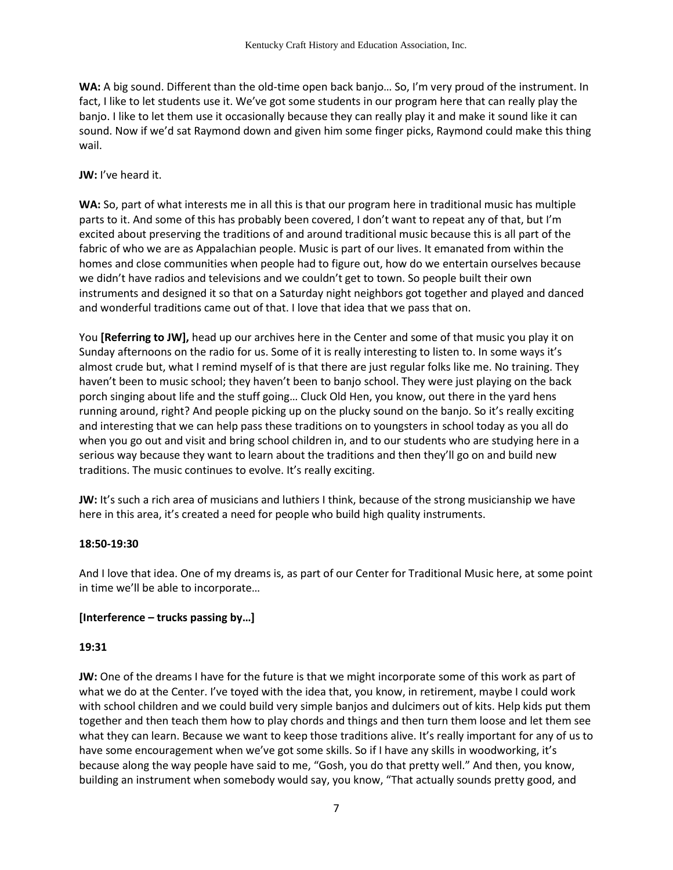**WA:** A big sound. Different than the old-time open back banjo… So, I'm very proud of the instrument. In fact, I like to let students use it. We've got some students in our program here that can really play the banjo. I like to let them use it occasionally because they can really play it and make it sound like it can sound. Now if we'd sat Raymond down and given him some finger picks, Raymond could make this thing wail.

## **JW:** I've heard it.

**WA:** So, part of what interests me in all this is that our program here in traditional music has multiple parts to it. And some of this has probably been covered, I don't want to repeat any of that, but I'm excited about preserving the traditions of and around traditional music because this is all part of the fabric of who we are as Appalachian people. Music is part of our lives. It emanated from within the homes and close communities when people had to figure out, how do we entertain ourselves because we didn't have radios and televisions and we couldn't get to town. So people built their own instruments and designed it so that on a Saturday night neighbors got together and played and danced and wonderful traditions came out of that. I love that idea that we pass that on.

You **[Referring to JW],** head up our archives here in the Center and some of that music you play it on Sunday afternoons on the radio for us. Some of it is really interesting to listen to. In some ways it's almost crude but, what I remind myself of is that there are just regular folks like me. No training. They haven't been to music school; they haven't been to banjo school. They were just playing on the back porch singing about life and the stuff going… Cluck Old Hen, you know, out there in the yard hens running around, right? And people picking up on the plucky sound on the banjo. So it's really exciting and interesting that we can help pass these traditions on to youngsters in school today as you all do when you go out and visit and bring school children in, and to our students who are studying here in a serious way because they want to learn about the traditions and then they'll go on and build new traditions. The music continues to evolve. It's really exciting.

**JW:** It's such a rich area of musicians and luthiers I think, because of the strong musicianship we have here in this area, it's created a need for people who build high quality instruments.

## **18:50-19:30**

And I love that idea. One of my dreams is, as part of our Center for Traditional Music here, at some point in time we'll be able to incorporate…

## **[Interference – trucks passing by…]**

#### **19:31**

**JW:** One of the dreams I have for the future is that we might incorporate some of this work as part of what we do at the Center. I've toyed with the idea that, you know, in retirement, maybe I could work with school children and we could build very simple banjos and dulcimers out of kits. Help kids put them together and then teach them how to play chords and things and then turn them loose and let them see what they can learn. Because we want to keep those traditions alive. It's really important for any of us to have some encouragement when we've got some skills. So if I have any skills in woodworking, it's because along the way people have said to me, "Gosh, you do that pretty well." And then, you know, building an instrument when somebody would say, you know, "That actually sounds pretty good, and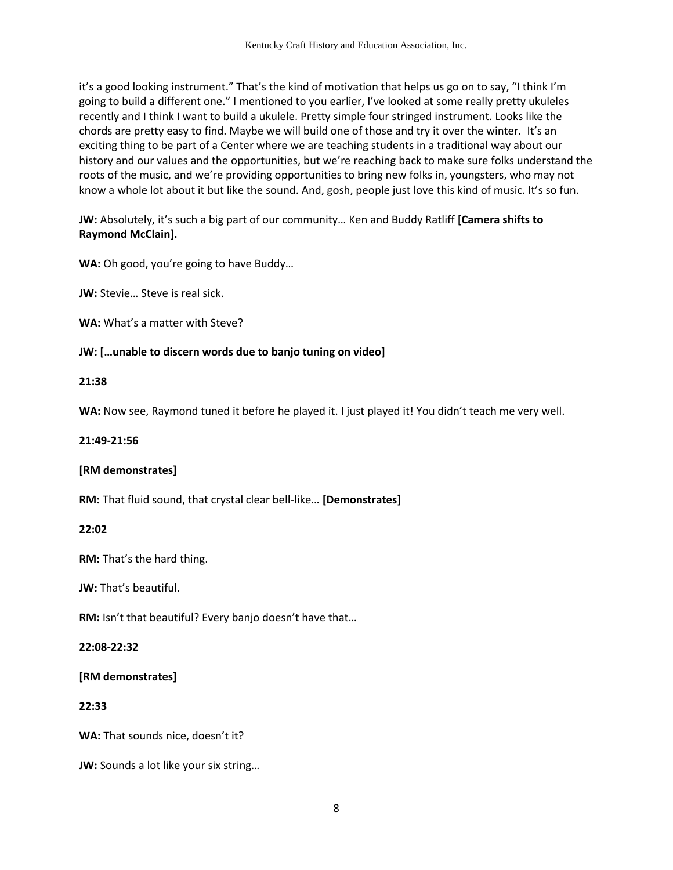it's a good looking instrument." That's the kind of motivation that helps us go on to say, "I think I'm going to build a different one." I mentioned to you earlier, I've looked at some really pretty ukuleles recently and I think I want to build a ukulele. Pretty simple four stringed instrument. Looks like the chords are pretty easy to find. Maybe we will build one of those and try it over the winter. It's an exciting thing to be part of a Center where we are teaching students in a traditional way about our history and our values and the opportunities, but we're reaching back to make sure folks understand the roots of the music, and we're providing opportunities to bring new folks in, youngsters, who may not know a whole lot about it but like the sound. And, gosh, people just love this kind of music. It's so fun.

**JW:** Absolutely, it's such a big part of our community… Ken and Buddy Ratliff **[Camera shifts to Raymond McClain].**

**WA:** Oh good, you're going to have Buddy…

**JW:** Stevie... Steve is real sick.

**WA:** What's a matter with Steve?

## **JW: […unable to discern words due to banjo tuning on video]**

## **21:38**

**WA:** Now see, Raymond tuned it before he played it. I just played it! You didn't teach me very well.

#### **21:49-21:56**

## **[RM demonstrates]**

**RM:** That fluid sound, that crystal clear bell-like… **[Demonstrates]**

## **22:02**

**RM:** That's the hard thing.

**JW:** That's beautiful.

**RM:** Isn't that beautiful? Every banjo doesn't have that…

## **22:08-22:32**

## **[RM demonstrates]**

## **22:33**

**WA:** That sounds nice, doesn't it?

**JW:** Sounds a lot like your six string…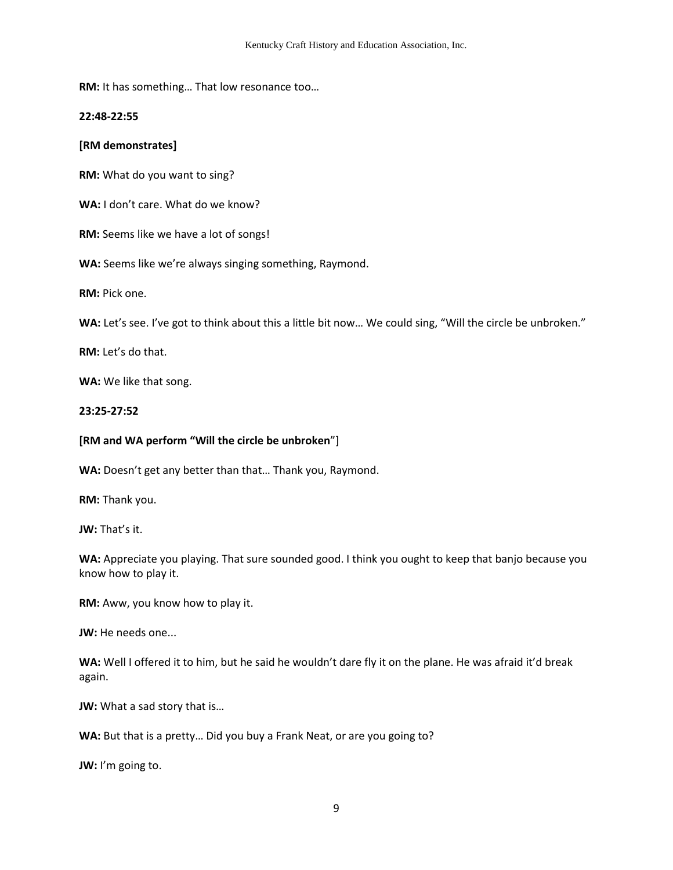**RM:** It has something… That low resonance too…

**22:48-22:55** 

## **[RM demonstrates]**

**RM:** What do you want to sing?

**WA:** I don't care. What do we know?

**RM:** Seems like we have a lot of songs!

**WA:** Seems like we're always singing something, Raymond.

**RM:** Pick one.

WA: Let's see. I've got to think about this a little bit now... We could sing, "Will the circle be unbroken."

**RM:** Let's do that.

**WA:** We like that song.

**23:25-27:52**

#### **[RM and WA perform "Will the circle be unbroken**"]

**WA:** Doesn't get any better than that… Thank you, Raymond.

**RM:** Thank you.

**JW:** That's it.

**WA:** Appreciate you playing. That sure sounded good. I think you ought to keep that banjo because you know how to play it.

**RM:** Aww, you know how to play it.

**JW:** He needs one...

WA: Well I offered it to him, but he said he wouldn't dare fly it on the plane. He was afraid it'd break again.

**JW:** What a sad story that is…

**WA:** But that is a pretty… Did you buy a Frank Neat, or are you going to?

**JW:** I'm going to.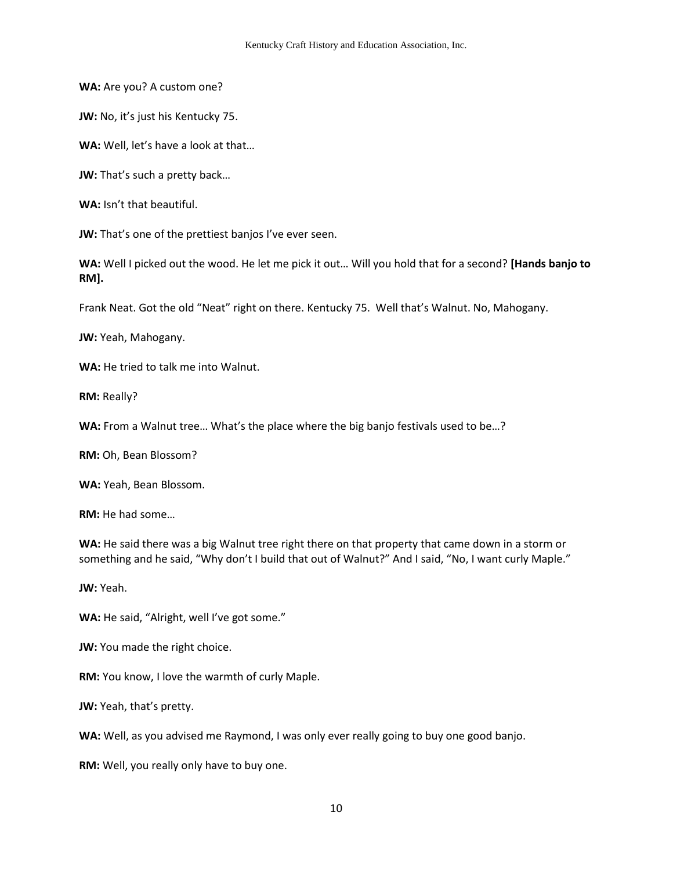**WA:** Are you? A custom one?

**JW:** No, it's just his Kentucky 75.

**WA:** Well, let's have a look at that…

**JW:** That's such a pretty back...

**WA:** Isn't that beautiful.

**JW:** That's one of the prettiest banjos I've ever seen.

**WA:** Well I picked out the wood. He let me pick it out… Will you hold that for a second? **[Hands banjo to RM].** 

Frank Neat. Got the old "Neat" right on there. Kentucky 75. Well that's Walnut. No, Mahogany.

**JW:** Yeah, Mahogany.

**WA:** He tried to talk me into Walnut.

**RM:** Really?

**WA:** From a Walnut tree… What's the place where the big banjo festivals used to be…?

**RM:** Oh, Bean Blossom?

**WA:** Yeah, Bean Blossom.

**RM:** He had some…

**WA:** He said there was a big Walnut tree right there on that property that came down in a storm or something and he said, "Why don't I build that out of Walnut?" And I said, "No, I want curly Maple."

**JW:** Yeah.

**WA:** He said, "Alright, well I've got some."

**JW:** You made the right choice.

**RM:** You know, I love the warmth of curly Maple.

**JW:** Yeah, that's pretty.

**WA:** Well, as you advised me Raymond, I was only ever really going to buy one good banjo.

**RM:** Well, you really only have to buy one.